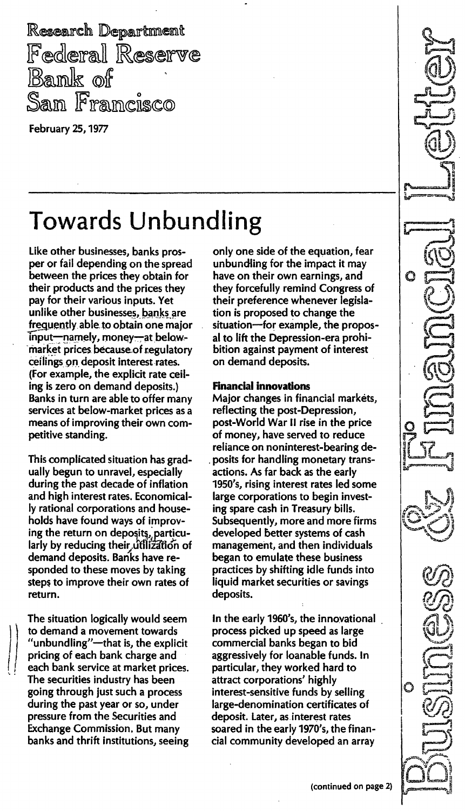Research Department **Federal Reserve Bank** of San Francisco

February 25, 1977

# Towards Unbundling

Like other businesses, banks prosper or fail depending on the spread between the prices they obtain for their products and the prices they pay for their various inputs. Yet unlike other businesses, banks are frequently able to obtain one major  $T$ input-namely, money-at belowmarket prices because of regulatory ceilings on deposit interest rates. (For example, the explicit rate ceiling is zero on demand deposits.) Banks in turn are able to offer many services at below-market prices as a means of improving their own competitive standing.

This complicated situation has gradually begun to unravel, especially during the past decade of inflation and high interest rates. Economically rational corporations and households have found ways of improving the return on deposits; particularly by reducing their utilization of demand deposits. Banks have responded to these moves by taking steps to improve their own rates of return.

The situation logically would seem to demand a movement towards "unbundling"-that is, the explicit pricing of each bank charge and each bank service at market prices. The securities industry has been going through just such a process during the past year or so, under pressure from the Securities and Exchange Commission. But many banks and thrift institutions, seeing only one side of the equation, fear unbundling for the impact it may have on their own earnings, and they forcefully remind Congress of their preference whenever legislation is proposed to change the situation-for example, the proposal to lift the Depression-era prohibition against payment of interest on demand deposits.

#### Financial innovations

Major changes in financial markets, reflecting the post-Depression, post-World War II rise in the price of money, have served to reduce reliance on noninterest-bearing deposits for handling monetary transactions. As far back as the early 1950's, rising interest rates led some large corporations to begin investing spare cash in Treasury bills. Subsequently, more and more firms developed better systems of cash management, and then individuals began to emulate these business practices by shifting idle funds into liquid market securities or savings deposits.

In the early 1960's, the innovational process picked up speed as large commercial banks began to bid aggressively for loanable funds. In particular, they worked hard to attract corporations' highly interest-sensitive funds by selling large-denomination certificates of deposit. Later, as interest rates soared in the early 1970's, the financial community developed an array

C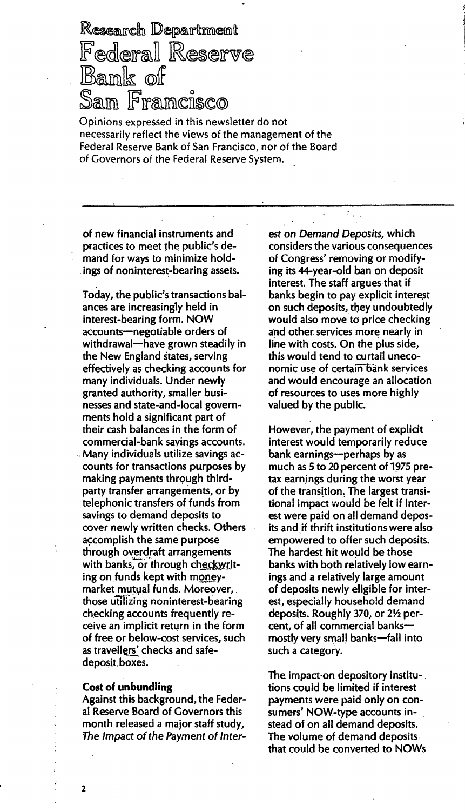Research Department Federal Reserve Bank of San Francisco

Opinions expressed in this newsletter do not necessarily reflect the views of the management of the Federal Reserve Bank of San Francisco, nor of the Board of Governors of the Federal Reserve System.

of new financial instruments and practices to meet the public's demand for ways to minimize holdings of noninterest-bearing assets.

Today, the public's transactions balances are increasing1y held in interest-bearing form. NOW accounts-negotiable orders of withdrawal-have grown steadily in the New England states, serving effectively as checking accounts for many individuals. Under newly granted authority, smaller businesses and state-and-Iocal governments hold a significant part of their cash balances in the form of commercial-bank savings accounts. Many individuals utilize savings accounts for transactions purposes by making payments through thirdparty transfer arrangements, or by telephonic transfers of funds from savings to demand deposits to cover newly written checks. Others accomplish the same purpose through overdraft arrangements with banks, or through checkwriting on funds kept with moneymarket mutual funds. Moreover, those utilizing noninterest-bearing checking accounts frequently receive an implicit return in the form of free or below-cost services, such as travellers' checks and safedeposit\_boxes.

#### Cost of unbundling

Against this background, the Federal Reserve Board of Governors this month released a major staff study, The Impact of the Payment of Interest on Demand Deposits, which considers the various consequences of Congress' removing or modifying its 44-year-old ban on deposit interest. The staff argues that if banks begin to pay explicit interest on such deposits, they undoubtedly would also move to price checking and other services more nearly in line with costs. On the plus side, this would tend to curtail uneconomic use of certain bank services and would encourage an allocation of resources to uses more highly vaiued by the public.

However, the payment of explicit interest would temporarily reduce bank earnings-perhaps by as much as 5 to 20 percent of 1975 pretax earnings during the worst year of the transition. The largest transitional impact would be felt if interest were paid on all demand deposits and if thrift institutions were also empowered to offer such deposits. The hardest hit would be those banks with both relatively low earnings and a relatively large amount of deposits newly eligible for interest, especially household demand deposits. Roughly 370, or  $2\frac{1}{2}$  percent, of all commercial banksmostly very small banks-fall into such a category.

The impact-on depository institutions could be limited if interest payments were paid only on consumers' NOW-type accounts instead of on all demand deposits. The volume of demand deposits that could be converted to NOWs

2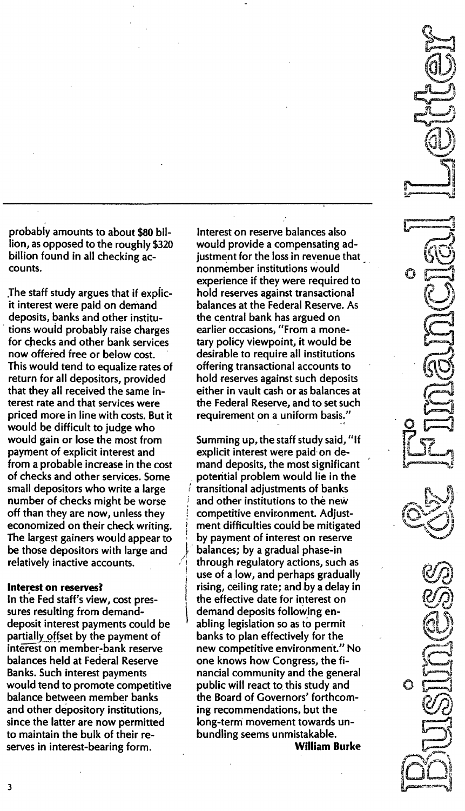probably amounts to about \$80 billion, as opposed to the roughly \$320 billion found in all checking accounts.

.The staff study argues that if explicit interest were paid on demand deposits, banks and other institutions would probably raise charges for checks and other bank services now offered free or below cost. This would tend to equalize rates of return for all depositors, provided that they all received the same interest rate and that services were priced more in line with costs. But it would be difficult to judge who would gain or lose the most from payment of explicit interest and from a probable increase in the cost of checks and other services. Some small depositors who write a large number of checks might be worse off than they are now, unless they economized on their check writing. The largest gainers would appear to be those depositors with large and relatively inactive accounts.

#### interest on reserves?

In the Fed staff's view, cost pressures resulting from demanddeposit interest payments could be partially.offset by the payment of interest on member-bank reserve balances held at Federal Reserve Banks. Such interest payments would tend to promote competitive balance between member banks and other depository institutions, since the latter are now permitted to maintain the bulk of their reserves in interest-bearing form.

Interest on reserve balances also would provide a compensating adjustment for the loss in revenue that nonmember institutions would . experience if they were required to hold reserves against transactional balances at the Federal Reserve. As the central bank has argued on earlier occasions, "From a monetary policy viewpoint, it would be desirable to require all institutions offering transactional accounts to hold reserves against such deposits either in vault cash or as balances at the Federal Reserve, and to set such requirement on a uniform basis."

Summing up, the staff study said, "If explicit interest were paid on demand deposits, the most significant potential problem would lie in the transitional adjustments of banks and other institutions to the new competitive environment. Adjustment difficulties could be mitigated by payment of interest on reserve balances; by a gradual phase-in through regulatory actions, such as use of alow, and perhaps gradually rising, ceiling rate; and by a delay in the effective date for interest on demand deposits following enabling legislation so as to permit banks to plan effectively for the new competitive environment." No one knows how Congress, the financial community and the general public will react to this study and the Board of Governors' forthcoming recommendations, but the long-term movement towards unbundling seems unmistakable. William Burke